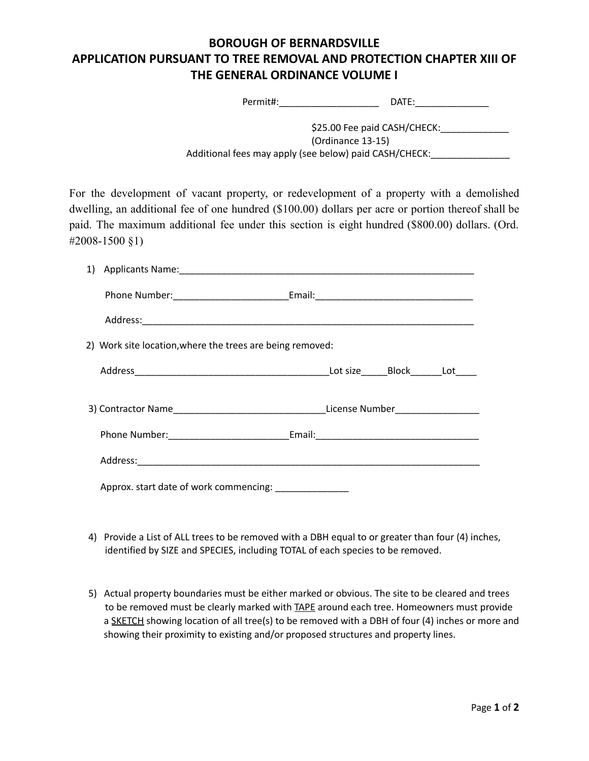## **BOROUGH OF BERNARDSVILLE APPLICATION PURSUANT TO TREE REMOVAL AND PROTECTION CHAPTER XIII OF THE GENERAL ORDINANCE VOLUME I**

Permit#:\_\_\_\_\_\_\_\_\_\_\_\_\_\_\_\_\_\_\_ DATE:\_\_\_\_\_\_\_\_\_\_\_\_\_\_

| \$25.00 Fee paid CASH/CHECK:                           |
|--------------------------------------------------------|
| (Ordinance 13-15)                                      |
| Additional fees may apply (see below) paid CASH/CHECK: |

For the development of vacant property, or redevelopment of a property with a demolished dwelling, an additional fee of one hundred (\$100.00) dollars per acre or portion thereof shall be paid. The maximum additional fee under this section is eight hundred (\$800.00) dollars. (Ord. #2008-1500 §1)

| 2) Work site location, where the trees are being removed:                        |  |  |  |  |  |
|----------------------------------------------------------------------------------|--|--|--|--|--|
|                                                                                  |  |  |  |  |  |
| 3) Contractor Name___________________________________License Number_____________ |  |  |  |  |  |
|                                                                                  |  |  |  |  |  |
|                                                                                  |  |  |  |  |  |
| Approx. start date of work commencing:                                           |  |  |  |  |  |

- 4) Provide a List of ALL trees to be removed with a DBH equal to or greater than four (4) inches, identified by SIZE and SPECIES, including TOTAL of each species to be removed.
- 5) Actual property boundaries must be either marked or obvious. The site to be cleared and trees to be removed must be clearly marked with TAPE around each tree. Homeowners must provide a SKETCH showing location of all tree(s) to be removed with a DBH of four (4) inches or more and showing their proximity to existing and/or proposed structures and property lines.